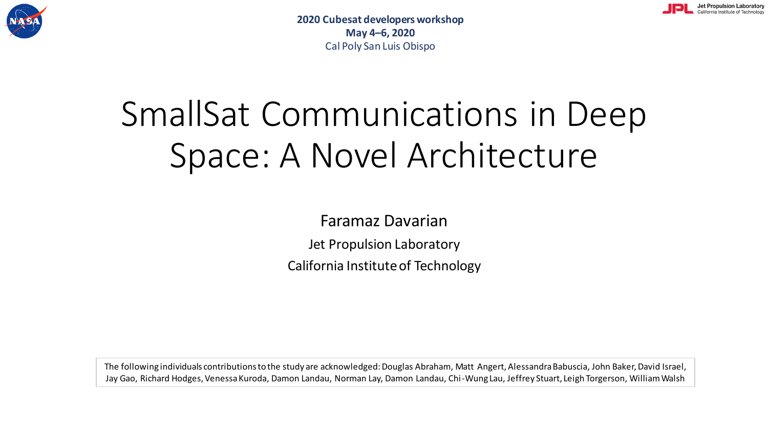

Jet Propulsion Laboratory California Institute of Technology

# SmallSat Communications in Deep Space: A Novel Architecture

Faramaz Davarian

Jet Propulsion Laboratory

California Institute of Technology

The following individuals contributions to the study are acknowledged: Douglas Abraham, Matt Angert, Alessandra Babuscia, John Baker, David Israel, Jay Gao, Richard Hodges, Venessa Kuroda, Damon Landau, Norman Lay, Damon Landau, Chi-Wung Lau, Jeffrey Stuart, Leigh Torgerson, William Walsh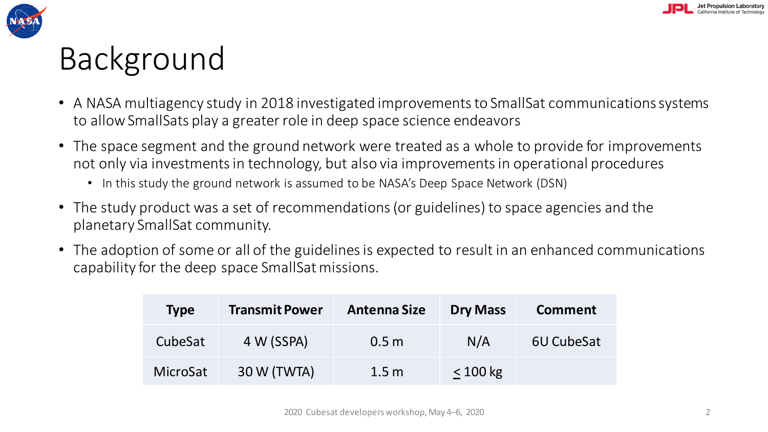



## Background

- A NASA multiagency study in 2018 investigated improvements to SmallSat communications systems to allow SmallSats play a greater role in deep space science endeavors
- The space segment and the ground network were treated as a whole to provide for improvements not only via investments in technology, but also via improvements in operational procedures
	- In this study the ground network is assumed to be NASA's Deep Space Network (DSN)
- The study product was a set of recommendations (or guidelines) to space agencies and the planetary SmallSat community.
- The adoption of some or all of the guidelines is expected to result in an enhanced communications capability for the deep space SmallSat missions.

| <b>Type</b> | <b>Transmit Power</b> | <b>Antenna Size</b> | <b>Dry Mass</b> | <b>Comment</b> |
|-------------|-----------------------|---------------------|-----------------|----------------|
| CubeSat     | 4 W (SSPA)            | 0.5 <sub>m</sub>    | N/A             | 6U CubeSat     |
| MicroSat    | 30 W (TWTA)           | 1.5 <sub>m</sub>    | < 100 kg        |                |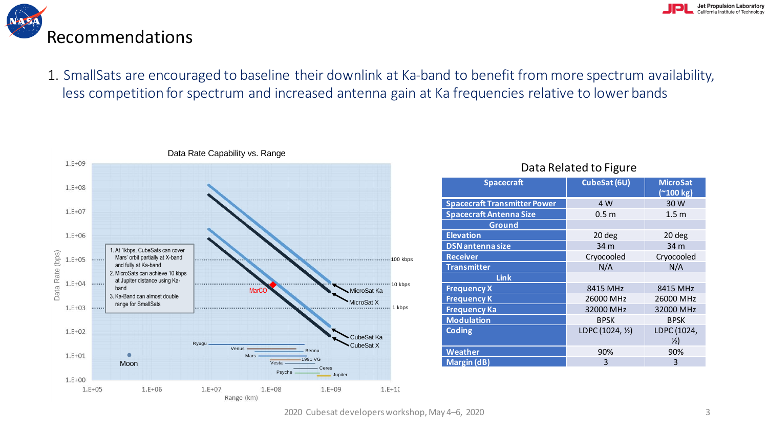

### Recommendations

1. SmallSats are encouraged to baseline their downlink at Ka-band to benefit from more spectrum availability, less competition for spectrum and increased antenna gain at Ka frequencies relative to lower bands



#### Data Related to Figure

| <b>Spacecraft</b>                   | CubeSat (6U)     | <b>MicroSat</b><br>$($ ~100 kg) |
|-------------------------------------|------------------|---------------------------------|
| <b>Spacecraft Transmitter Power</b> | 4 W              | 30 W                            |
| <b>Spacecraft Antenna Size</b>      | 0.5 <sub>m</sub> | 1.5 <sub>m</sub>                |
| <b>Ground</b>                       |                  |                                 |
| <b>Elevation</b>                    | 20 deg           | 20 deg                          |
| <b>DSN</b> antenna size             | 34 m             | 34 m                            |
| <b>Receiver</b>                     | Cryocooled       | Cryocooled                      |
| <b>Transmitter</b>                  | N/A              | N/A                             |
| <b>Link</b>                         |                  |                                 |
| <b>Frequency X</b>                  | 8415 MHz         | 8415 MHz                        |
| <b>Frequency K</b>                  | 26000 MHz        | 26000 MHz                       |
| <b>Frequency Ka</b>                 | 32000 MHz        | 32000 MHz                       |
| <b>Modulation</b>                   | <b>BPSK</b>      | <b>BPSK</b>                     |
| <b>Coding</b>                       | LDPC (1024, 1/2) | LDPC (1024,                     |
|                                     |                  | $\frac{1}{2}$                   |
| <b>Weather</b>                      | 90%              | 90%                             |
| <b>Margin (dB)</b>                  | 3                | 3                               |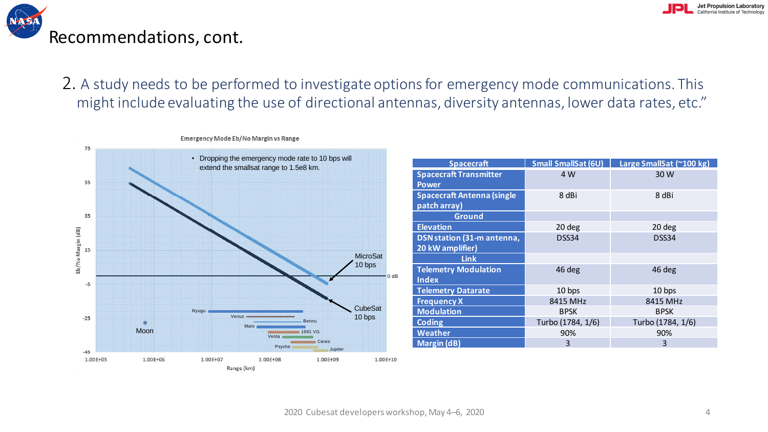

2. A study needs to be performed to investigate options for emergency mode communications. This might include evaluating the use of directional antennas, diversity antennas, lower data rates, etc." **Emergency conducting** and ase of an economaranteming



| <b>Spacecraft</b>                 | <b>Small SmallSat (6U)</b> | Large SmallSat (~100 kg) |  |
|-----------------------------------|----------------------------|--------------------------|--|
| <b>Spacecraft Transmitter</b>     | 4 W                        | 30 W                     |  |
| <b>Power</b>                      |                            |                          |  |
| <b>Spacecraft Antenna (single</b> | 8 dBi                      | 8 dBi                    |  |
| patch array)                      |                            |                          |  |
| <b>Ground</b>                     |                            |                          |  |
| <b>Elevation</b>                  | 20 deg                     | 20 deg                   |  |
| DSN station (31-m antenna,        | DSS34                      | DSS34                    |  |
| 20 kW amplifier)                  |                            |                          |  |
| <b>Link</b>                       |                            |                          |  |
| <b>Telemetry Modulation</b>       | 46 deg                     | 46 deg                   |  |
| <b>Index</b>                      |                            |                          |  |
| <b>Telemetry Datarate</b>         | 10 bps                     | 10 bps                   |  |
| <b>Frequency X</b>                | 8415 MHz                   | 8415 MHz                 |  |
| <b>Modulation</b>                 | <b>BPSK</b>                | <b>BPSK</b>              |  |
| <b>Coding</b>                     | Turbo (1784, 1/6)          | Turbo (1784, 1/6)        |  |
| <b>Weather</b>                    | 90%                        | 90%                      |  |
| <b>Margin (dB)</b>                | 3                          | 3                        |  |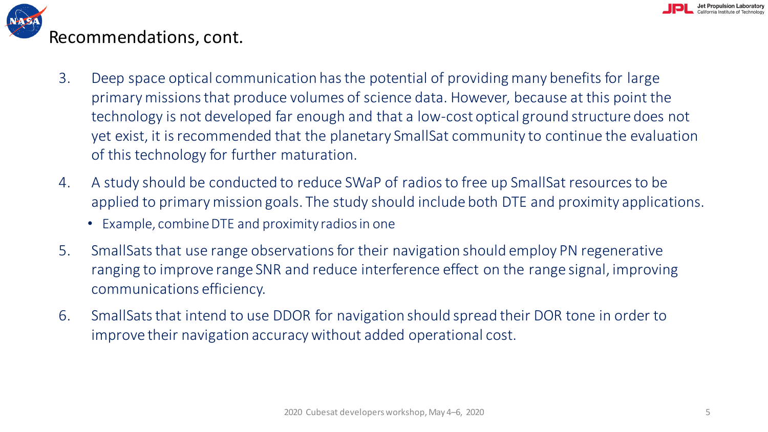

- 3. Deep space optical communication has the potential of providing many benefits for large primary missions that produce volumes of science data. However, because at this point the technology is not developed far enough and that a low-cost optical ground structure does not yet exist, it is recommended that the planetary SmallSat community to continue the evaluation of this technology for further maturation.
- 4. A study should be conducted to reduce SWaP of radios to free up SmallSat resources to be applied to primary mission goals. The study should include both DTE and proximity applications.
	- Example, combine DTE and proximity radios in one
- 5. SmallSats that use range observations for their navigation should employ PN regenerative ranging to improve range SNR and reduce interference effect on the range signal, improving communications efficiency.
- 6. SmallSats that intend to use DDOR for navigation should spread their DOR tone in order to improve their navigation accuracy without added operational cost.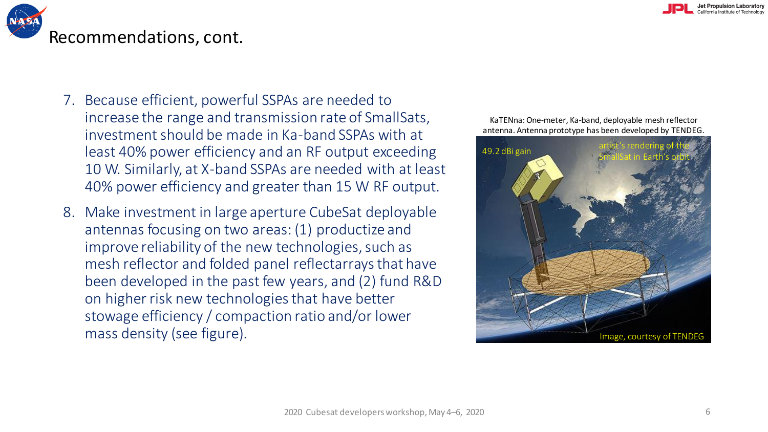

- 7. Because efficient, powerful SSPAs are needed to increase the range and transmission rate of SmallSats, investment should be made in Ka-band SSPAs with at least 40% power efficiency and an RF output exceeding 10 W. Similarly, at X-band SSPAs are needed with at least 40% power efficiency and greater than 15 W RF output.
- 8. Make investment in large aperture CubeSat deployable antennas focusing on two areas: (1) productize and improve reliability of the new technologies, such as mesh reflector and folded panel reflectarrays that have been developed in the past few years, and (2) fund R&D on higher risk new technologies that have better stowage efficiency / compaction ratio and/or lower mass density (see figure). The matrix of the state of TENDEG in a state of TENDEG in a state of TENDEG

KaTENna: One-meter, Ka-band, deployable mesh reflector antenna. Antenna prototype has been developed by TENDEG.

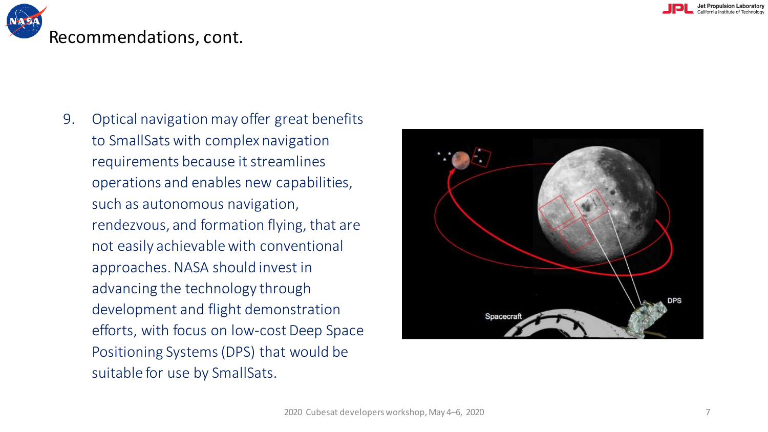

9. Optical navigation may offer great benefits to SmallSats with complex navigation requirements because it streamlines operations and enables new capabilities, such as autonomous navigation, rendezvous, and formation flying, that are not easily achievable with conventional approaches. NASA should invest in advancing the technology through development and flight demonstration efforts, with focus on low-cost Deep Space Positioning Systems (DPS) that would be suitable for use by SmallSats.

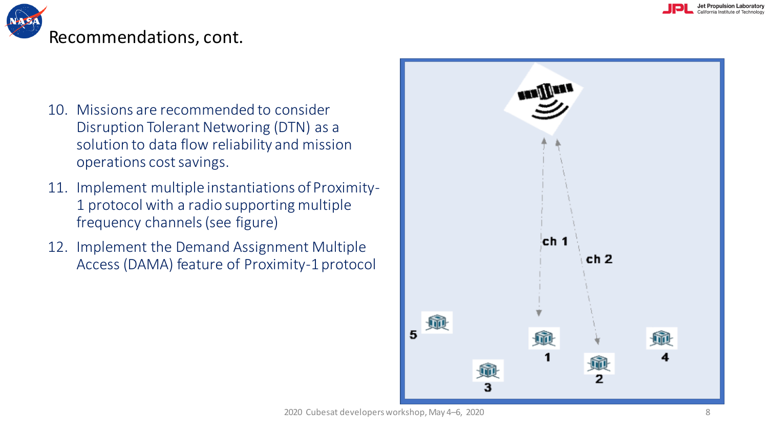



- 10. Missions are recommended to consider Disruption Tolerant Networing (DTN) as a solution to data flow reliability and mission operations cost savings.
- 11. Implement multiple instantiations of Proximity-1 protocol with a radio supporting multiple frequency channels (see figure)
- 12. Implement the Demand Assignment Multiple Access (DAMA) feature of Proximity-1 protocol

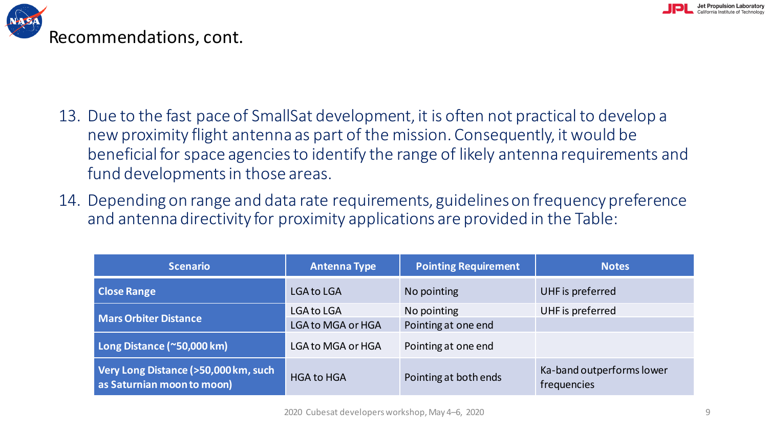



- 13. Due to the fast pace of SmallSat development, it is often not practical to develop a new proximity flight antenna as part of the mission. Consequently, it would be beneficial for space agencies to identify the range of likely antenna requirements and fund developments in those areas.
- 14. Depending on range and data rate requirements, guidelines on frequency preference and antenna directivity for proximity applications are provided in the Table:

| <b>Scenario</b>                                                    | <b>Antenna Type</b>                           | <b>Pointing Requirement</b>        | <b>Notes</b>                             |
|--------------------------------------------------------------------|-----------------------------------------------|------------------------------------|------------------------------------------|
| <b>Close Range</b>                                                 | <b>LGA to LGA</b>                             | No pointing                        | UHF is preferred                         |
| <b>Mars Orbiter Distance</b>                                       | <b>LGA to LGA</b><br><b>LGA to MGA or HGA</b> | No pointing<br>Pointing at one end | UHF is preferred                         |
| Long Distance (~50,000 km)                                         | <b>LGA to MGA or HGA</b>                      | Pointing at one end                |                                          |
| Very Long Distance (>50,000 km, such<br>as Saturnian moon to moon) | <b>HGA to HGA</b>                             | Pointing at both ends              | Ka-band outperforms lower<br>frequencies |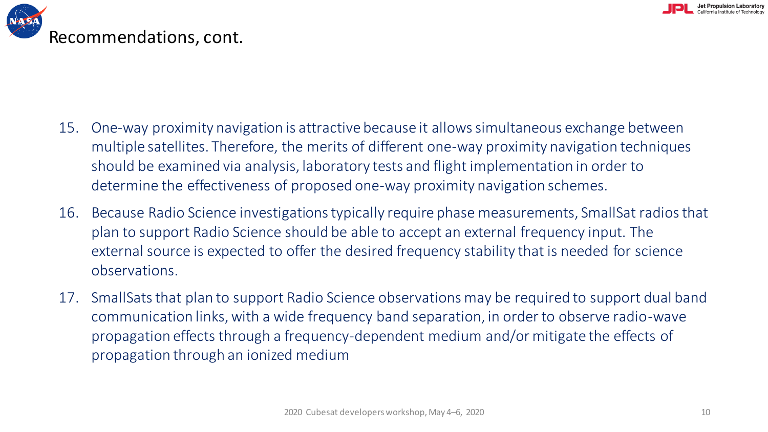

- 15. One-way proximity navigation is attractive because it allows simultaneous exchange between multiple satellites. Therefore, the merits of different one-way proximity navigation techniques should be examined via analysis, laboratory tests and flight implementation in order to determine the effectiveness of proposed one-way proximity navigation schemes.
- 16. Because Radio Science investigations typically require phase measurements, SmallSat radios that plan to support Radio Science should be able to accept an external frequency input. The external source is expected to offer the desired frequency stability that is needed for science observations.
- 17. SmallSats that plan to support Radio Science observations may be required to support dual band communication links, with a wide frequency band separation, in order to observe radio-wave propagation effects through a frequency-dependent medium and/or mitigate the effects of propagation through an ionized medium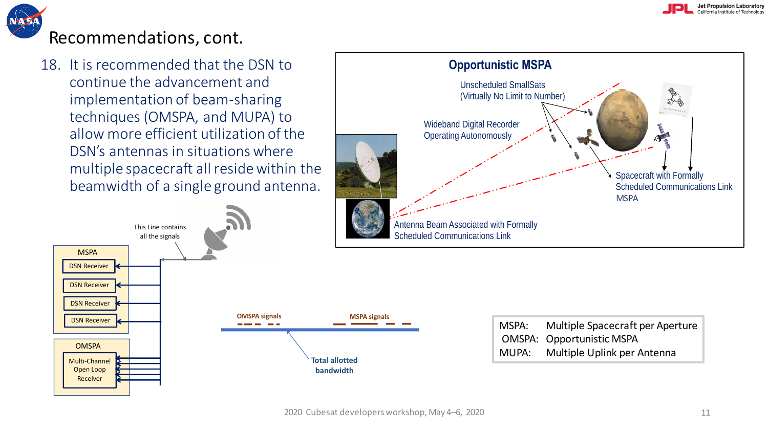

18. It is recommended that the DSN to continue the advancement and implementation of beam-sharing techniques (OMSPA, and MUPA) to allow more efficient utilization of the DSN's antennas in situations where multiple spacecraft all reside within the beamwidth of a single ground antenna.







| MSPA: | Multiple Spacecraft per Aperture |
|-------|----------------------------------|
|       | <b>OMSPA: Opportunistic MSPA</b> |
| MUPA: | Multiple Uplink per Antenna      |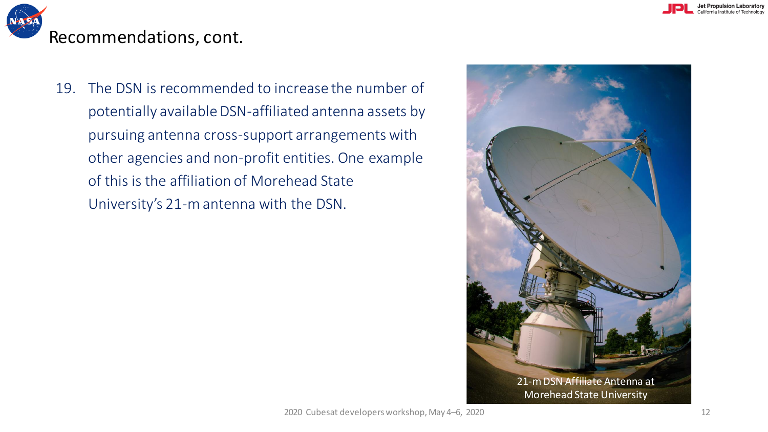

19. The DSN is recommended to increase the number of potentially available DSN-affiliated antenna assets by pursuing antenna cross-support arrangements with other agencies and non-profit entities. One example of this is the affiliation of Morehead State University's 21-m antenna with the DSN.

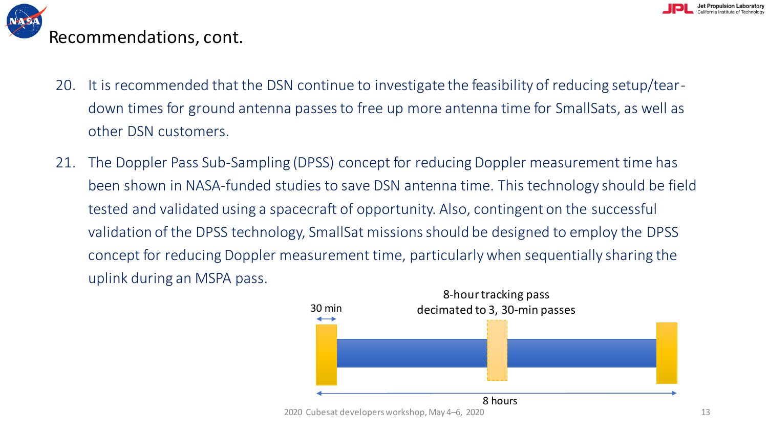

- 20. It is recommended that the DSN continue to investigate the feasibility of reducing setup/teardown times for ground antenna passes to free up more antenna time for SmallSats, as well as other DSN customers.
- 21. The Doppler Pass Sub-Sampling (DPSS) concept for reducing Doppler measurement time has been shown in NASA-funded studies to save DSN antenna time. This technology should be field tested and validated using a spacecraft of opportunity. Also, contingent on the successful validation of the DPSS technology, SmallSat missions should be designed to employ the DPSS concept for reducing Doppler measurement time, particularly when sequentially sharing the uplink during an MSPA pass.